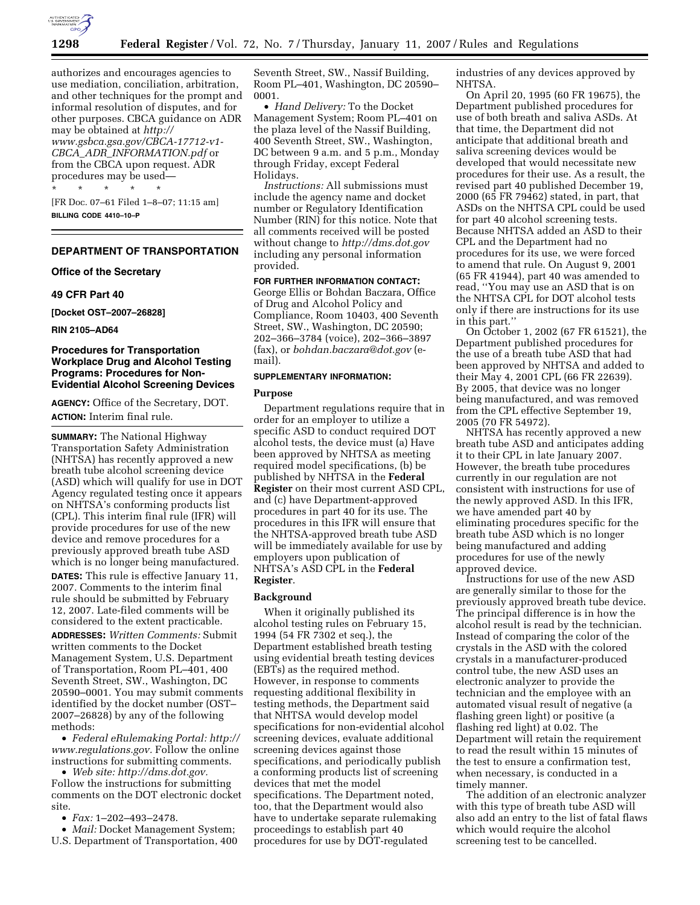

authorizes and encourages agencies to use mediation, conciliation, arbitration, and other techniques for the prompt and informal resolution of disputes, and for other purposes. CBCA guidance on ADR may be obtained at *http:// www.gsbca.gsa.gov/CBCA-17712-v1- CBCA*\_*ADR*\_*INFORMATION.pdf* or from the CBCA upon request. ADR procedures may be used— \* \* \* \* \*

[FR Doc. 07–61 Filed 1–8–07; 11:15 am] **BILLING CODE 4410–10–P** 

# **DEPARTMENT OF TRANSPORTATION**

## **Office of the Secretary**

#### **49 CFR Part 40**

**[Docket OST–2007–26828]** 

**RIN 2105–AD64** 

# **Procedures for Transportation Workplace Drug and Alcohol Testing Programs: Procedures for Non-Evidential Alcohol Screening Devices**

**AGENCY:** Office of the Secretary, DOT. **ACTION:** Interim final rule.

**SUMMARY:** The National Highway Transportation Safety Administration (NHTSA) has recently approved a new breath tube alcohol screening device (ASD) which will qualify for use in DOT Agency regulated testing once it appears on NHTSA's conforming products list (CPL). This interim final rule (IFR) will provide procedures for use of the new device and remove procedures for a previously approved breath tube ASD which is no longer being manufactured.

**DATES:** This rule is effective January 11, 2007. Comments to the interim final rule should be submitted by February 12, 2007. Late-filed comments will be considered to the extent practicable.

**ADDRESSES:** *Written Comments:* Submit written comments to the Docket Management System, U.S. Department of Transportation, Room PL–401, 400 Seventh Street, SW., Washington, DC 20590–0001. You may submit comments identified by the docket number (OST– 2007–26828) by any of the following methods:

• *Federal eRulemaking Portal: http:// www.regulations.gov.* Follow the online instructions for submitting comments.

• *Web site: http://dms.dot.gov.*  Follow the instructions for submitting comments on the DOT electronic docket site.

• *Fax:* 1–202–493–2478.

• *Mail:* Docket Management System; U.S. Department of Transportation, 400

Seventh Street, SW., Nassif Building, Room PL–401, Washington, DC 20590– 0001.

• *Hand Delivery:* To the Docket Management System; Room PL–401 on the plaza level of the Nassif Building, 400 Seventh Street, SW., Washington, DC between 9 a.m. and 5 p.m., Monday through Friday, except Federal Holidays.

*Instructions:* All submissions must include the agency name and docket number or Regulatory Identification Number (RIN) for this notice. Note that all comments received will be posted without change to *http://dms.dot.gov*  including any personal information provided.

**FOR FURTHER INFORMATION CONTACT:**  George Ellis or Bohdan Baczara, Office of Drug and Alcohol Policy and Compliance, Room 10403, 400 Seventh Street, SW., Washington, DC 20590; 202–366–3784 (voice), 202–366–3897 (fax), or *bohdan.baczara@dot.gov* (email).

## **SUPPLEMENTARY INFORMATION:**

# **Purpose**

Department regulations require that in order for an employer to utilize a specific ASD to conduct required DOT alcohol tests, the device must (a) Have been approved by NHTSA as meeting required model specifications, (b) be published by NHTSA in the **Federal Register** on their most current ASD CPL, and (c) have Department-approved procedures in part 40 for its use. The procedures in this IFR will ensure that the NHTSA-approved breath tube ASD will be immediately available for use by employers upon publication of NHTSA's ASD CPL in the **Federal Register**.

### **Background**

When it originally published its alcohol testing rules on February 15, 1994 (54 FR 7302 et seq.), the Department established breath testing using evidential breath testing devices (EBTs) as the required method. However, in response to comments requesting additional flexibility in testing methods, the Department said that NHTSA would develop model specifications for non-evidential alcohol screening devices, evaluate additional screening devices against those specifications, and periodically publish a conforming products list of screening devices that met the model specifications. The Department noted, too, that the Department would also have to undertake separate rulemaking proceedings to establish part 40 procedures for use by DOT-regulated

industries of any devices approved by NHTSA.

On April 20, 1995 (60 FR 19675), the Department published procedures for use of both breath and saliva ASDs. At that time, the Department did not anticipate that additional breath and saliva screening devices would be developed that would necessitate new procedures for their use. As a result, the revised part 40 published December 19, 2000 (65 FR 79462) stated, in part, that ASDs on the NHTSA CPL could be used for part 40 alcohol screening tests. Because NHTSA added an ASD to their CPL and the Department had no procedures for its use, we were forced to amend that rule. On August 9, 2001 (65 FR 41944), part 40 was amended to read, ''You may use an ASD that is on the NHTSA CPL for DOT alcohol tests only if there are instructions for its use in this part.''

On October 1, 2002 (67 FR 61521), the Department published procedures for the use of a breath tube ASD that had been approved by NHTSA and added to their May 4, 2001 CPL (66 FR 22639). By 2005, that device was no longer being manufactured, and was removed from the CPL effective September 19, 2005 (70 FR 54972).

NHTSA has recently approved a new breath tube ASD and anticipates adding it to their CPL in late January 2007. However, the breath tube procedures currently in our regulation are not consistent with instructions for use of the newly approved ASD. In this IFR, we have amended part 40 by eliminating procedures specific for the breath tube ASD which is no longer being manufactured and adding procedures for use of the newly approved device.

Instructions for use of the new ASD are generally similar to those for the previously approved breath tube device. The principal difference is in how the alcohol result is read by the technician. Instead of comparing the color of the crystals in the ASD with the colored crystals in a manufacturer-produced control tube, the new ASD uses an electronic analyzer to provide the technician and the employee with an automated visual result of negative (a flashing green light) or positive (a flashing red light) at 0.02. The Department will retain the requirement to read the result within 15 minutes of the test to ensure a confirmation test, when necessary, is conducted in a timely manner.

The addition of an electronic analyzer with this type of breath tube ASD will also add an entry to the list of fatal flaws which would require the alcohol screening test to be cancelled.